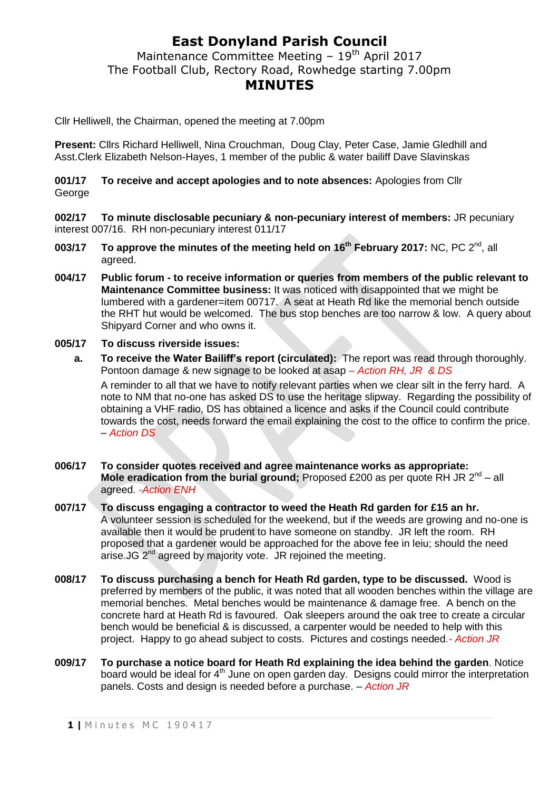## **East Donyland Parish Council**

Maintenance Committee Meeting  $-19<sup>th</sup>$  April 2017 The Football Club, Rectory Road, Rowhedge starting 7.00pm **MINUTES**

Cllr Helliwell, the Chairman, opened the meeting at 7.00pm

**Present:** Cllrs Richard Helliwell, Nina Crouchman, Doug Clay, Peter Case, Jamie Gledhill and Asst.Clerk Elizabeth Nelson-Hayes, 1 member of the public & water bailiff Dave Slavinskas

**001/17 To receive and accept apologies and to note absences:** Apologies from Cllr George

**002/17 To minute disclosable pecuniary & non-pecuniary interest of members:** JR pecuniary interest 007/16. RH non-pecuniary interest 011/17

- 003/17 To approve the minutes of the meeting held on 16<sup>th</sup> February 2017: NC, PC 2<sup>nd</sup>, all agreed.
- **004/17 Public forum - to receive information or queries from members of the public relevant to Maintenance Committee business:** It was noticed with disappointed that we might be lumbered with a gardener=item 00717. A seat at Heath Rd like the memorial bench outside the RHT hut would be welcomed. The bus stop benches are too narrow & low. A query about Shipyard Corner and who owns it.
- **005/17 To discuss riverside issues:**
	- **a. To receive the Water Bailiff's report (circulated):** The report was read through thoroughly. Pontoon damage & new signage to be looked at asap *– Action RH, JR & DS*

A reminder to all that we have to notify relevant parties when we clear silt in the ferry hard. A note to NM that no-one has asked DS to use the heritage slipway. Regarding the possibility of obtaining a VHF radio, DS has obtained a licence and asks if the Council could contribute towards the cost, needs forward the email explaining the cost to the office to confirm the price. – *Action DS*

- **006/17 To consider quotes received and agree maintenance works as appropriate:** Mole eradication from the burial ground; Proposed £200 as per quote RH JR 2<sup>nd</sup> – all agreed*. -Action ENH*
- **007/17 To discuss engaging a contractor to weed the Heath Rd garden for £15 an hr.** A volunteer session is scheduled for the weekend, but if the weeds are growing and no-one is available then it would be prudent to have someone on standby. JR left the room. RH proposed that a gardener would be approached for the above fee in leiu; should the need arise. JG  $2^{nd}$  agreed by majority vote. JR rejoined the meeting.
- **008/17 To discuss purchasing a bench for Heath Rd garden, type to be discussed.** Wood is preferred by members of the public, it was noted that all wooden benches within the village are memorial benches. Metal benches would be maintenance & damage free. A bench on the concrete hard at Heath Rd is favoured. Oak sleepers around the oak tree to create a circular bench would be beneficial & is discussed, a carpenter would be needed to help with this project. Happy to go ahead subject to costs. Pictures and costings needed*.- Action JR*
- **009/17 To purchase a notice board for Heath Rd explaining the idea behind the garden**. Notice board would be ideal for 4<sup>th</sup> June on open garden day. Designs could mirror the interpretation panels. Costs and design is needed before a purchase. *– Action JR*